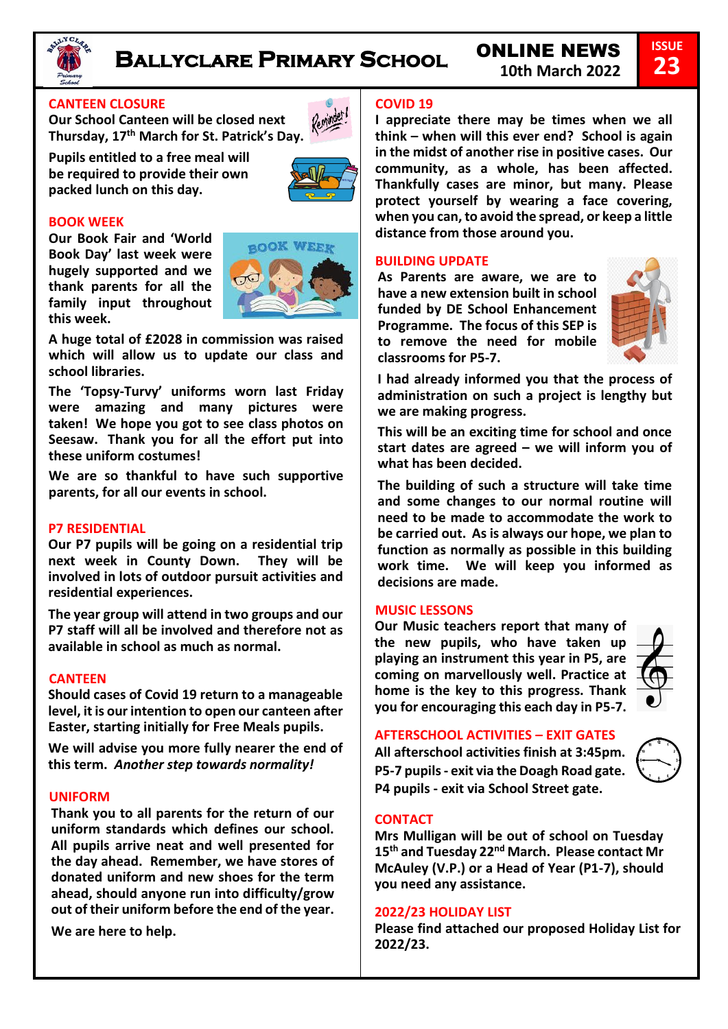

# **Ballyclare Primary School** ONLINE NEWS

# **CANTEEN CLOSURE**

**Our School Canteen will be closed next Thursday, 17th March for St. Patrick's Day.** 

**Pupils entitled to a free meal will be required to provide their own packed lunch on this day.** 



# **BOOK WEEK**

**Our Book Fair and 'World Book Day' last week were hugely supported and we thank parents for all the family input throughout this week.**



**A huge total of £2028 in commission was raised which will allow us to update our class and school libraries.** 

**The 'Topsy-Turvy' uniforms worn last Friday were amazing and many pictures were taken! We hope you got to see class photos on Seesaw. Thank you for all the effort put into these uniform costumes!** 

**We are so thankful to have such supportive parents, for all our events in school.** 

# **P7 RESIDENTIAL**

**Our P7 pupils will be going on a residential trip next week in County Down. They will be involved in lots of outdoor pursuit activities and residential experiences.** 

**The year group will attend in two groups and our P7 staff will all be involved and therefore not as available in school as much as normal.** 

# **CANTEEN**

**Should cases of Covid 19 return to a manageable level, it is our intention to open our canteen after Easter, starting initially for Free Meals pupils.** 

**We will advise you more fully nearer the end of this term.** *Another step towards normality!*

# **UNIFORM**

**Thank you to all parents for the return of our uniform standards which defines our school. All pupils arrive neat and well presented for the day ahead. Remember, we have stores of donated uniform and new shoes for the term ahead, should anyone run into difficulty/grow out of their uniform before the end of the year.** 

**We are here to help.** 

# **COVID 19**

**I appreciate there may be times when we all think – when will this ever end? School is again in the midst of another rise in positive cases. Our community, as a whole, has been affected. Thankfully cases are minor, but many. Please protect yourself by wearing a face covering, when you can, to avoid the spread, or keep a little distance from those around you.**

# **BUILDING UPDATE**

**As Parents are aware, we are to have a new extension built in school funded by DE School Enhancement Programme. The focus of this SEP is to remove the need for mobile classrooms for P5-7.** 



**ISSUE 23**

**I had already informed you that the process of administration on such a project is lengthy but we are making progress.**

**This will be an exciting time for school and once start dates are agreed – we will inform you of what has been decided.** 

**The building of such a structure will take time and some changes to our normal routine will need to be made to accommodate the work to be carried out. As is always our hope, we plan to function as normally as possible in this building work time. We will keep you informed as decisions are made.** 

# **MUSIC LESSONS**

**Our Music teachers report that many of the new pupils, who have taken up playing an instrument this year in P5, are coming on marvellously well. Practice at home is the key to this progress. Thank you for encouraging this each day in P5-7.** 



# **AFTERSCHOOL ACTIVITIES – EXIT GATES**

**All afterschool activities finish at 3:45pm. P5-7 pupils - exit via the Doagh Road gate. P4 pupils - exit via School Street gate.** 



# **CONTACT**

**Mrs Mulligan will be out of school on Tuesday 15th and Tuesday 22nd March. Please contact Mr McAuley (V.P.) or a Head of Year (P1-7), should you need any assistance.** 

# **2022/23 HOLIDAY LIST**

**Please find attached our proposed Holiday List for 2022/23.**